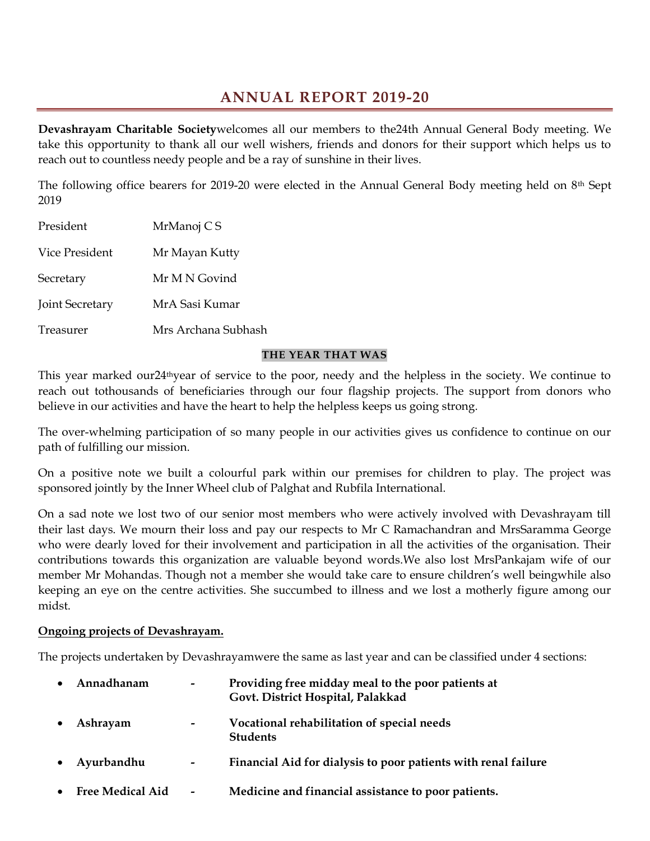## ANNUAL REPORT 2019-20

Devashrayam Charitable Societywelcomes all our members to the24th Annual General Body meeting. We take this opportunity to thank all our well wishers, friends and donors for their support which helps us to reach out to countless needy people and be a ray of sunshine in their lives.

The following office bearers for 2019-20 were elected in the Annual General Body meeting held on 8th Sept 2019

| President       | MrManoj C S         |
|-----------------|---------------------|
| Vice President  | Mr Mayan Kutty      |
| Secretary       | Mr M N Govind       |
| Joint Secretary | MrA Sasi Kumar      |
| Treasurer       | Mrs Archana Subhash |

#### THE YEAR THAT WAS

This year marked our24<sup>th</sup>year of service to the poor, needy and the helpless in the society. We continue to reach out tothousands of beneficiaries through our four flagship projects. The support from donors who believe in our activities and have the heart to help the helpless keeps us going strong.

The over-whelming participation of so many people in our activities gives us confidence to continue on our path of fulfilling our mission.

On a positive note we built a colourful park within our premises for children to play. The project was sponsored jointly by the Inner Wheel club of Palghat and Rubfila International.

On a sad note we lost two of our senior most members who were actively involved with Devashrayam till their last days. We mourn their loss and pay our respects to Mr C Ramachandran and MrsSaramma George who were dearly loved for their involvement and participation in all the activities of the organisation. Their contributions towards this organization are valuable beyond words.We also lost MrsPankajam wife of our member Mr Mohandas. Though not a member she would take care to ensure children's well beingwhile also keeping an eye on the centre activities. She succumbed to illness and we lost a motherly figure among our midst.

#### Ongoing projects of Devashrayam.

The projects undertaken by Devashrayamwere the same as last year and can be classified under 4 sections:

| $\bullet$ | Annadhanam              | $\overline{\phantom{a}}$ | Providing free midday meal to the poor patients at<br>Govt. District Hospital, Palakkad |
|-----------|-------------------------|--------------------------|-----------------------------------------------------------------------------------------|
|           | Ashrayam                | $\overline{\phantom{a}}$ | Vocational rehabilitation of special needs<br><b>Students</b>                           |
| $\bullet$ | Ayurbandhu              | $\overline{\phantom{a}}$ | Financial Aid for dialysis to poor patients with renal failure                          |
| $\bullet$ | <b>Free Medical Aid</b> | $\overline{\phantom{a}}$ | Medicine and financial assistance to poor patients.                                     |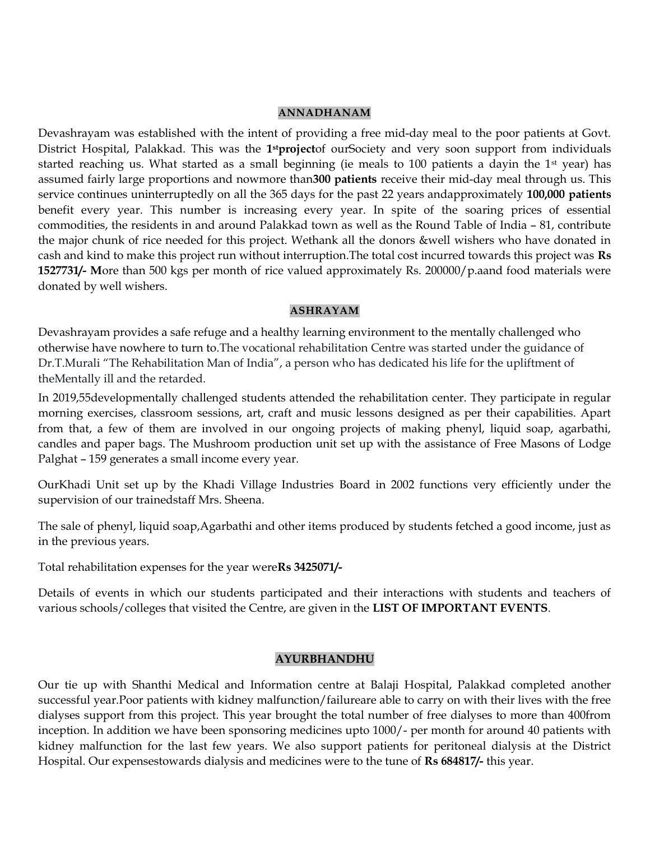#### ANNADHANAM

Devashrayam was established with the intent of providing a free mid-day meal to the poor patients at Govt. District Hospital, Palakkad. This was the 1<sup>st</sup>projectof ourSociety and very soon support from individuals started reaching us. What started as a small beginning (ie meals to 100 patients a dayin the 1<sup>st</sup> year) has assumed fairly large proportions and nowmore than300 patients receive their mid-day meal through us. This service continues uninterruptedly on all the 365 days for the past 22 years andapproximately 100,000 patients benefit every year. This number is increasing every year. In spite of the soaring prices of essential commodities, the residents in and around Palakkad town as well as the Round Table of India – 81, contribute the major chunk of rice needed for this project. Wethank all the donors &well wishers who have donated in cash and kind to make this project run without interruption.The total cost incurred towards this project was Rs 1527731/- More than 500 kgs per month of rice valued approximately Rs. 200000/p.aand food materials were donated by well wishers.

#### ASHRAYAM

Devashrayam provides a safe refuge and a healthy learning environment to the mentally challenged who otherwise have nowhere to turn to.The vocational rehabilitation Centre was started under the guidance of Dr.T.Murali "The Rehabilitation Man of India", a person who has dedicated his life for the upliftment of theMentally ill and the retarded.

In 2019,55developmentally challenged students attended the rehabilitation center. They participate in regular morning exercises, classroom sessions, art, craft and music lessons designed as per their capabilities. Apart from that, a few of them are involved in our ongoing projects of making phenyl, liquid soap, agarbathi, candles and paper bags. The Mushroom production unit set up with the assistance of Free Masons of Lodge Palghat – 159 generates a small income every year.

OurKhadi Unit set up by the Khadi Village Industries Board in 2002 functions very efficiently under the supervision of our trainedstaff Mrs. Sheena.

The sale of phenyl, liquid soap,Agarbathi and other items produced by students fetched a good income, just as in the previous years.

Total rehabilitation expenses for the year wereRs 3425071/-

Details of events in which our students participated and their interactions with students and teachers of various schools/colleges that visited the Centre, are given in the LIST OF IMPORTANT EVENTS.

#### AYURBHANDHU

Our tie up with Shanthi Medical and Information centre at Balaji Hospital, Palakkad completed another successful year.Poor patients with kidney malfunction/failureare able to carry on with their lives with the free dialyses support from this project. This year brought the total number of free dialyses to more than 400from inception. In addition we have been sponsoring medicines upto 1000/- per month for around 40 patients with kidney malfunction for the last few years. We also support patients for peritoneal dialysis at the District Hospital. Our expensestowards dialysis and medicines were to the tune of Rs 684817/- this year.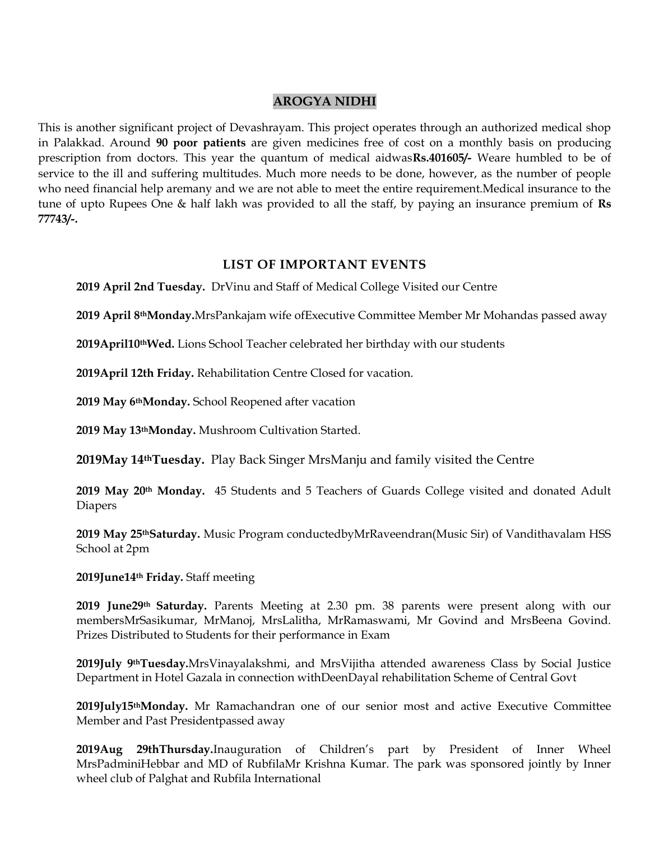## AROGYA NIDHI

This is another significant project of Devashrayam. This project operates through an authorized medical shop in Palakkad. Around 90 poor patients are given medicines free of cost on a monthly basis on producing prescription from doctors. This year the quantum of medical aidwasRs.401605/- Weare humbled to be of service to the ill and suffering multitudes. Much more needs to be done, however, as the number of people who need financial help aremany and we are not able to meet the entire requirement.Medical insurance to the tune of upto Rupees One  $\&$  half lakh was provided to all the staff, by paying an insurance premium of Rs 77743/-.

## LIST OF IMPORTANT EVENTS

2019 April 2nd Tuesday. DrVinu and Staff of Medical College Visited our Centre

2019 April 8thMonday.MrsPankajam wife ofExecutive Committee Member Mr Mohandas passed away

2019April10thWed. Lions School Teacher celebrated her birthday with our students

2019April 12th Friday. Rehabilitation Centre Closed for vacation.

2019 May 6<sup>th</sup>Monday. School Reopened after vacation

2019 May 13thMonday. Mushroom Cultivation Started.

2019May 14thTuesday. Play Back Singer MrsManju and family visited the Centre

2019 May 20<sup>th</sup> Monday. 45 Students and 5 Teachers of Guards College visited and donated Adult Diapers

2019 May 25<sup>th</sup>Saturday. Music Program conductedbyMrRaveendran(Music Sir) of Vandithavalam HSS School at 2pm

2019June14th Friday. Staff meeting

2019 June29th Saturday. Parents Meeting at 2.30 pm. 38 parents were present along with our membersMrSasikumar, MrManoj, MrsLalitha, MrRamaswami, Mr Govind and MrsBeena Govind. Prizes Distributed to Students for their performance in Exam

2019July 9<sup>th</sup>Tuesday.MrsVinayalakshmi, and MrsVijitha attended awareness Class by Social Justice Department in Hotel Gazala in connection withDeenDayal rehabilitation Scheme of Central Govt

2019July15<sup>th</sup>Monday. Mr Ramachandran one of our senior most and active Executive Committee Member and Past Presidentpassed away

2019Aug 29thThursday.Inauguration of Children's part by President of Inner Wheel MrsPadminiHebbar and MD of RubfilaMr Krishna Kumar. The park was sponsored jointly by Inner wheel club of Palghat and Rubfila International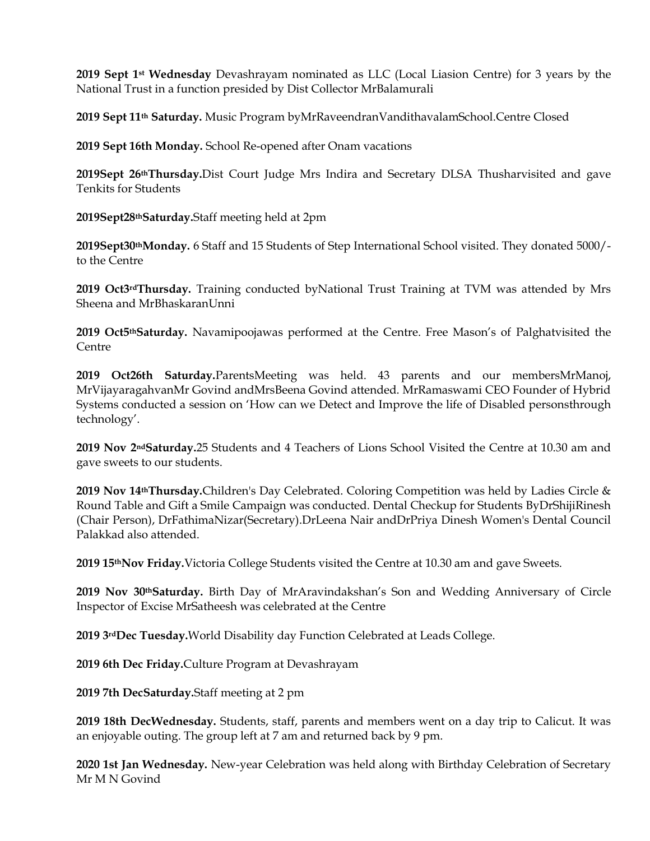2019 Sept 1<sup>st</sup> Wednesday Devashrayam nominated as LLC (Local Liasion Centre) for 3 years by the National Trust in a function presided by Dist Collector MrBalamurali

2019 Sept 11th Saturday. Music Program byMrRaveendranVandithavalamSchool.Centre Closed

2019 Sept 16th Monday. School Re-opened after Onam vacations

2019Sept 26thThursday.Dist Court Judge Mrs Indira and Secretary DLSA Thusharvisited and gave Tenkits for Students

2019Sept28thSaturday.Staff meeting held at 2pm

2019Sept30thMonday. 6 Staff and 15 Students of Step International School visited. They donated 5000/ to the Centre

2019 Oct3rdThursday. Training conducted byNational Trust Training at TVM was attended by Mrs Sheena and MrBhaskaranUnni

2019 Oct5<sup>th</sup>Saturday. Navamipoojawas performed at the Centre. Free Mason's of Palghatvisited the Centre

2019 Oct26th Saturday.ParentsMeeting was held. 43 parents and our membersMrManoj, MrVijayaragahvanMr Govind andMrsBeena Govind attended. MrRamaswami CEO Founder of Hybrid Systems conducted a session on 'How can we Detect and Improve the life of Disabled personsthrough technology'.

2019 Nov 2<sup>nd</sup>Saturday.25 Students and 4 Teachers of Lions School Visited the Centre at 10.30 am and gave sweets to our students.

2019 Nov 14thThursday.Children's Day Celebrated. Coloring Competition was held by Ladies Circle & Round Table and Gift a Smile Campaign was conducted. Dental Checkup for Students ByDrShijiRinesh (Chair Person), DrFathimaNizar(Secretary).DrLeena Nair andDrPriya Dinesh Women's Dental Council Palakkad also attended.

2019 15<sup>th</sup>Nov Friday. Victoria College Students visited the Centre at 10.30 am and gave Sweets.

2019 Nov 30th Saturday. Birth Day of MrAravindakshan's Son and Wedding Anniversary of Circle Inspector of Excise MrSatheesh was celebrated at the Centre

2019 3rdDec Tuesday.World Disability day Function Celebrated at Leads College.

2019 6th Dec Friday.Culture Program at Devashrayam

2019 7th DecSaturday.Staff meeting at 2 pm

2019 18th DecWednesday. Students, staff, parents and members went on a day trip to Calicut. It was an enjoyable outing. The group left at 7 am and returned back by 9 pm.

2020 1st Jan Wednesday. New-year Celebration was held along with Birthday Celebration of Secretary Mr M N Govind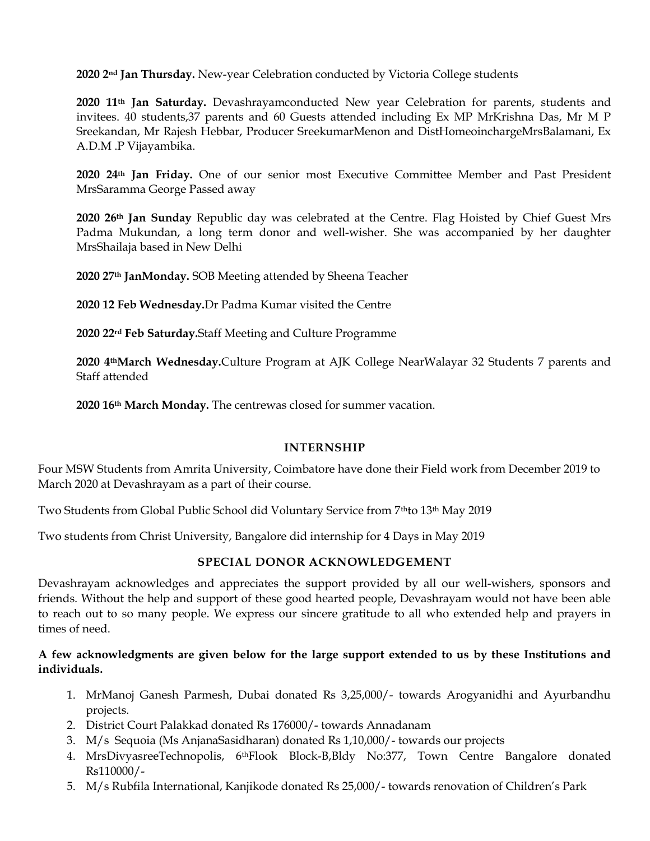2020 2<sup>nd</sup> Jan Thursday. New-year Celebration conducted by Victoria College students

2020 11th Jan Saturday. Devashrayamconducted New year Celebration for parents, students and invitees. 40 students,37 parents and 60 Guests attended including Ex MP MrKrishna Das, Mr M P Sreekandan, Mr Rajesh Hebbar, Producer SreekumarMenon and DistHomeoinchargeMrsBalamani, Ex A.D.M .P Vijayambika.

2020 24th Jan Friday. One of our senior most Executive Committee Member and Past President MrsSaramma George Passed away

2020 26<sup>th</sup> Jan Sunday Republic day was celebrated at the Centre. Flag Hoisted by Chief Guest Mrs Padma Mukundan, a long term donor and well-wisher. She was accompanied by her daughter MrsShailaja based in New Delhi

2020 27th JanMonday. SOB Meeting attended by Sheena Teacher

2020 12 Feb Wednesday.Dr Padma Kumar visited the Centre

2020 22rd Feb Saturday.Staff Meeting and Culture Programme

2020 4thMarch Wednesday.Culture Program at AJK College NearWalayar 32 Students 7 parents and Staff attended

2020 16th March Monday. The centrewas closed for summer vacation.

#### INTERNSHIP

Four MSW Students from Amrita University, Coimbatore have done their Field work from December 2019 to March 2020 at Devashrayam as a part of their course.

Two Students from Global Public School did Voluntary Service from 7thto 13th May 2019

Two students from Christ University, Bangalore did internship for 4 Days in May 2019

#### SPECIAL DONOR ACKNOWLEDGEMENT

Devashrayam acknowledges and appreciates the support provided by all our well-wishers, sponsors and friends. Without the help and support of these good hearted people, Devashrayam would not have been able to reach out to so many people. We express our sincere gratitude to all who extended help and prayers in times of need.

### A few acknowledgments are given below for the large support extended to us by these Institutions and individuals.

- 1. MrManoj Ganesh Parmesh, Dubai donated Rs 3,25,000/- towards Arogyanidhi and Ayurbandhu projects.
- 2. District Court Palakkad donated Rs 176000/- towards Annadanam
- 3. M/s Sequoia (Ms AnjanaSasidharan) donated Rs 1,10,000/- towards our projects
- 4. MrsDivyasreeTechnopolis, 6thFlook Block-B,Bldy No:377, Town Centre Bangalore donated Rs110000/-
- 5. M/s Rubfila International, Kanjikode donated Rs 25,000/- towards renovation of Children's Park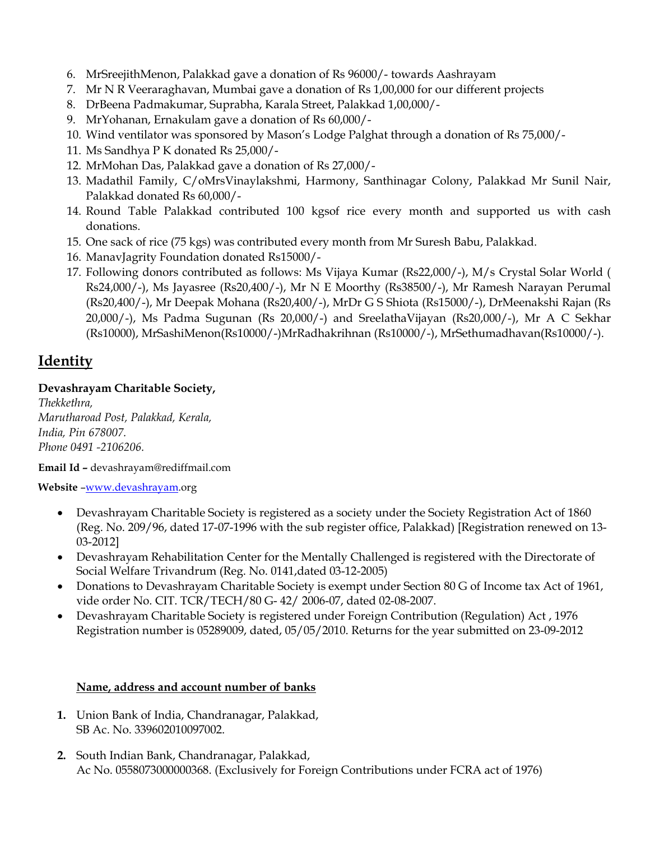- 6. MrSreejithMenon, Palakkad gave a donation of Rs 96000/- towards Aashrayam
- 7. Mr N R Veeraraghavan, Mumbai gave a donation of Rs 1,00,000 for our different projects
- 8. DrBeena Padmakumar, Suprabha, Karala Street, Palakkad 1,00,000/-
- 9. MrYohanan, Ernakulam gave a donation of Rs 60,000/-
- 10. Wind ventilator was sponsored by Mason's Lodge Palghat through a donation of Rs 75,000/-
- 11. Ms Sandhya P K donated Rs 25,000/-
- 12. MrMohan Das, Palakkad gave a donation of Rs 27,000/-
- 13. Madathil Family, C/oMrsVinaylakshmi, Harmony, Santhinagar Colony, Palakkad Mr Sunil Nair, Palakkad donated Rs 60,000/-
- 14. Round Table Palakkad contributed 100 kgsof rice every month and supported us with cash donations.
- 15. One sack of rice (75 kgs) was contributed every month from Mr Suresh Babu, Palakkad.
- 16. ManavJagrity Foundation donated Rs15000/-
- 17. Following donors contributed as follows: Ms Vijaya Kumar (Rs22,000/-), M/s Crystal Solar World ( Rs24,000/-), Ms Jayasree (Rs20,400/-), Mr N E Moorthy (Rs38500/-), Mr Ramesh Narayan Perumal (Rs20,400/-), Mr Deepak Mohana (Rs20,400/-), MrDr G S Shiota (Rs15000/-), DrMeenakshi Rajan (Rs 20,000/-), Ms Padma Sugunan (Rs 20,000/-) and SreelathaVijayan (Rs20,000/-), Mr A C Sekhar (Rs10000), MrSashiMenon(Rs10000/-)MrRadhakrihnan (Rs10000/-), MrSethumadhavan(Rs10000/-).

# **Identity**

## Devashrayam Charitable Society,

Thekkethra, Marutharoad Post, Palakkad, Kerala, India, Pin 678007. Phone 0491 -2106206.

Email Id – devashrayam@rediffmail.com

Website –www.devashrayam.org

- Devashrayam Charitable Society is registered as a society under the Society Registration Act of 1860 (Reg. No. 209/96, dated 17-07-1996 with the sub register office, Palakkad) [Registration renewed on 13- 03-2012]
- Devashrayam Rehabilitation Center for the Mentally Challenged is registered with the Directorate of Social Welfare Trivandrum (Reg. No. 0141,dated 03-12-2005)
- Donations to Devashrayam Charitable Society is exempt under Section 80 G of Income tax Act of 1961, vide order No. CIT. TCR/TECH/80 G- 42/ 2006-07, dated 02-08-2007.
- Devashrayam Charitable Society is registered under Foreign Contribution (Regulation) Act , 1976 Registration number is 05289009, dated, 05/05/2010. Returns for the year submitted on 23-09-2012

## Name, address and account number of banks

- 1. Union Bank of India, Chandranagar, Palakkad, SB Ac. No. 339602010097002.
- 2. South Indian Bank, Chandranagar, Palakkad, Ac No. 0558073000000368. (Exclusively for Foreign Contributions under FCRA act of 1976)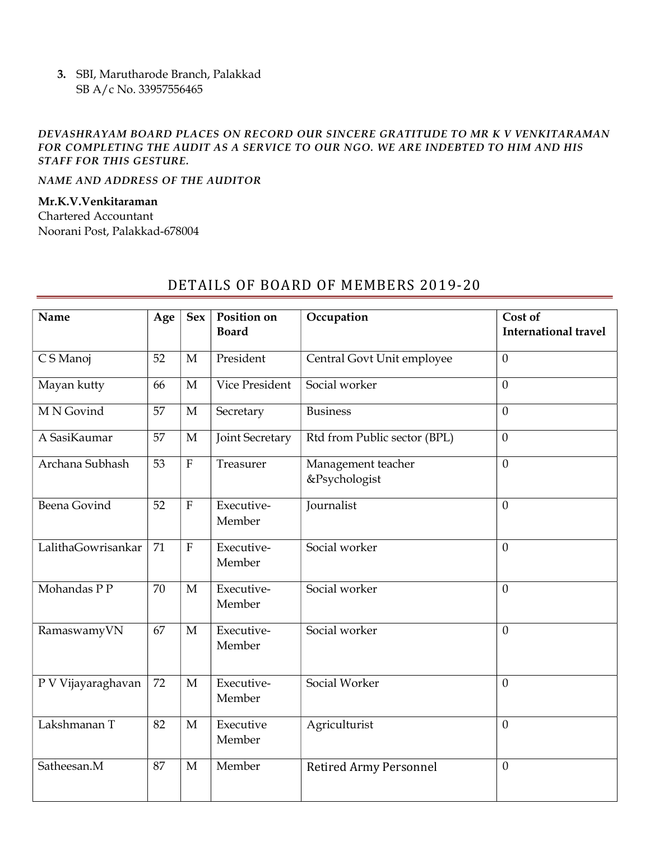3. SBI, Marutharode Branch, Palakkad SB A/c No. 33957556465

#### DEVASHRAYAM BOARD PLACES ON RECORD OUR SINCERE GRATITUDE TO MR K V VENKITARAMAN FOR COMPLETING THE AUDIT AS A SERVICE TO OUR NGO. WE ARE INDEBTED TO HIM AND HIS STAFF FOR THIS GESTURE.

NAME AND ADDRESS OF THE AUDITOR

#### Mr.K.V.Venkitaraman

Chartered Accountant Noorani Post, Palakkad-678004

## Name | Age | Sex | Position on Board Occupation | Cost of International travel C S Manoj 52 M President Central Govt Unit employee 0 Mayan kutty 66 M Vice President Social worker 0 M N Govind 57 M Secretary Business 0 A SasiKaumar  $\vert$  57  $\vert$  M  $\vert$  Joint Secretary Rtd from Public sector (BPL)  $\vert$  0 Archana Subhash | 53 | F | Treasurer | Management teacher &Psychologist 0 Beena Govind 52 F Executive-Member Journalist 0 LalithaGowrisankar 71 F Executive-Member  $Social worker$  0  $Mohandas PP$  70 M Executive-Member  $\sim$   $\sim$  0 RamaswamyVN  $\begin{array}{|c|c|c|c|c|} \hline \end{array}$   $\begin{array}{|c|c|c|c|c|} \hline \end{array}$   $\begin{array}{|c|c|c|c|c|} \hline \end{array}$  Executive-Member  $\sim$   $\sim$  0 P V Vijayaraghavan | 72 | M | Executive-Member  $\sim$   $\sim$  0 Lakshmanan T  $|82|$  M Executive Member Agriculturist 0

Satheesan.M  $|87|M|$  Member Retired Army Personnel  $|0\rangle$ 

## DETAILS OF BOARD OF MEMBERS 2019-20